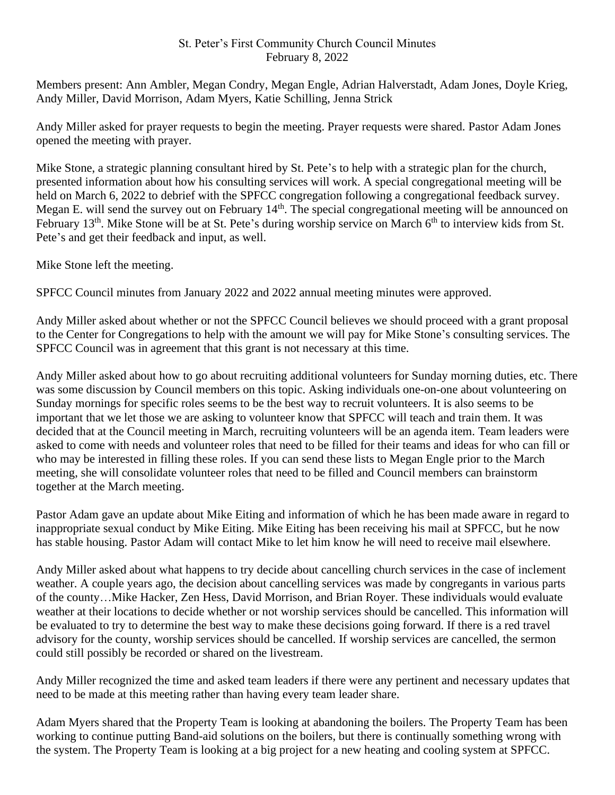## St. Peter's First Community Church Council Minutes February 8, 2022

Members present: Ann Ambler, Megan Condry, Megan Engle, Adrian Halverstadt, Adam Jones, Doyle Krieg, Andy Miller, David Morrison, Adam Myers, Katie Schilling, Jenna Strick

Andy Miller asked for prayer requests to begin the meeting. Prayer requests were shared. Pastor Adam Jones opened the meeting with prayer.

Mike Stone, a strategic planning consultant hired by St. Pete's to help with a strategic plan for the church, presented information about how his consulting services will work. A special congregational meeting will be held on March 6, 2022 to debrief with the SPFCC congregation following a congregational feedback survey. Megan E. will send the survey out on February 14<sup>th</sup>. The special congregational meeting will be announced on February 13<sup>th</sup>. Mike Stone will be at St. Pete's during worship service on March 6<sup>th</sup> to interview kids from St. Pete's and get their feedback and input, as well.

Mike Stone left the meeting.

SPFCC Council minutes from January 2022 and 2022 annual meeting minutes were approved.

Andy Miller asked about whether or not the SPFCC Council believes we should proceed with a grant proposal to the Center for Congregations to help with the amount we will pay for Mike Stone's consulting services. The SPFCC Council was in agreement that this grant is not necessary at this time.

Andy Miller asked about how to go about recruiting additional volunteers for Sunday morning duties, etc. There was some discussion by Council members on this topic. Asking individuals one-on-one about volunteering on Sunday mornings for specific roles seems to be the best way to recruit volunteers. It is also seems to be important that we let those we are asking to volunteer know that SPFCC will teach and train them. It was decided that at the Council meeting in March, recruiting volunteers will be an agenda item. Team leaders were asked to come with needs and volunteer roles that need to be filled for their teams and ideas for who can fill or who may be interested in filling these roles. If you can send these lists to Megan Engle prior to the March meeting, she will consolidate volunteer roles that need to be filled and Council members can brainstorm together at the March meeting.

Pastor Adam gave an update about Mike Eiting and information of which he has been made aware in regard to inappropriate sexual conduct by Mike Eiting. Mike Eiting has been receiving his mail at SPFCC, but he now has stable housing. Pastor Adam will contact Mike to let him know he will need to receive mail elsewhere.

Andy Miller asked about what happens to try decide about cancelling church services in the case of inclement weather. A couple years ago, the decision about cancelling services was made by congregants in various parts of the county…Mike Hacker, Zen Hess, David Morrison, and Brian Royer. These individuals would evaluate weather at their locations to decide whether or not worship services should be cancelled. This information will be evaluated to try to determine the best way to make these decisions going forward. If there is a red travel advisory for the county, worship services should be cancelled. If worship services are cancelled, the sermon could still possibly be recorded or shared on the livestream.

Andy Miller recognized the time and asked team leaders if there were any pertinent and necessary updates that need to be made at this meeting rather than having every team leader share.

Adam Myers shared that the Property Team is looking at abandoning the boilers. The Property Team has been working to continue putting Band-aid solutions on the boilers, but there is continually something wrong with the system. The Property Team is looking at a big project for a new heating and cooling system at SPFCC.